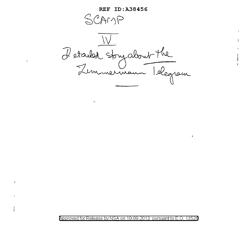**REF ID:A38456** 

SCAMP

Detailed story about the

Approved for Release by NSA on 10-09-2013 pursuant to E.O 13526

 $\overline{1}$ 

 $\pmb{t}$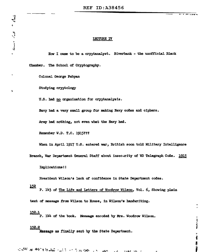## LECTURE IV

How I came to be a cryptanalyst. Riverbank - the unofficial Black

Chamber. The School of Cryptography.

Colonel George Fabyan

 $\label{eq:2.1} \mathbf{Z}^{\mathbf{r}} = \mathbf{Z}^{\mathbf{r}} \mathbf{Z}^{\mathbf{r}}$ 

 $\bullet$ 

Studying cryptology

U.S. had no organization for cryptanalysis.

Navy had a very small group for making Navy codes and ciphers.

Army had nothing, not even what the Navy had.

Remember W.D. T.C. 1915???

When in April 1917 U.S. entered war, British soon told Military Intelligence

The fact and set

륟 Ì

Branch, War Department General Staff about insecurity of WD Telegraph Code. 1915

Implications!!

President Wilson's lack of confidence in State Department codes.

 $152$ P. 143 of The Life and Letters of Woodrow Wilson, Vol. 6, Showing plain

text of message from Wilson to House, in Wilson's handwriting.

<u>152.1</u> P. 144 of the book. Message encoded by Mrs. Woodrow Wilson.

152.2 Message as finally sent by the State Department.

A SAN SE ANG PINANG SALI SA TANG TANG TANG A **WAYS** the Salar A.L.  $\sim$   $\sim$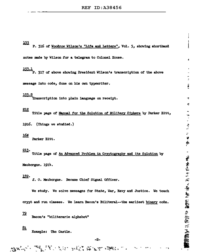153 P. 316 of Woodrow Wilson's "Life and Letters", Vol. 5, showing shorthand notes made by Wilson for a telegram to Colonel House.

 $\frac{153.1}{P}$ . 317 of above showing President Wilson's transcription of the above

message into code, done on his own typewriter.

#### 153.2

Transcription into plain language on receipt.

## 212

Title page of Manual for the Solution of Military Ciphers by Parker Hitt,

ü

カード きょうこく

₹

Ś

- 2000年4月15日、1998年1月1日、1998年1月1日、1998年1月1日、1998年1月1日、1998年1月1日、1998年1月1日、1月1日、1月1日、1月1日、1月1日、1月1日、1月

1916. (Things we studied.)

## 16ø

Parker Hitt.

## 213.

Title page of An Advanced Problem in Cryptography and its Solution by

Mauborgne. 1914.

## 152.

J. O. Mauborgne. Became Chief Signal Officer.

We study. We solve messages for State, War, Navy and Justice. We teach

crypt and run classes. We learn Bacon's Biliteral--the earliest binary code.

<u>72</u> Bacon's "biliterarie alphabet"

81 Example: The Castle.

-2-

**THE SATE ROLL POSSESS**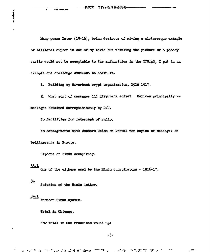$-$  REF ID: A38456

Many years later (15-16), being desirous of giving a picturesque example of bilateral cipher in one of my texts but thinking the picture of a phoney castle would not be acceptable to the authorities in the OCSigO, I put in an example and challenge students to solve it.

1. Building up Riverbank crypt organization, 1916-1917.

2. What sort of messages did Riverbank solve? Mexican principally -messages obtained surreptitiously by  $D/J$ .

No facilities for intercept of radio.

No arrangements with Western Union or Postal for copies of messages of belligerents in Europe.

Ciphers of Hindu conspiracy.

#### <u>33.1</u>

 $\mathbf{1}$ 

x

One of the ciphers used by the Hindu conspirators - 1916-17.

## $3<sup>1</sup>$

Solution of the Hindu letter.

# $34.1$

Another Hindu system.

Trial in Chicago.

How trial in San Francisco wound up!

ិរាល្វង់ជំងឺទ័ណ្ឌ

 $-3-$ 

المواسور

 $\boldsymbol{\gamma}$ 

 $-1$ 

**Cannon America**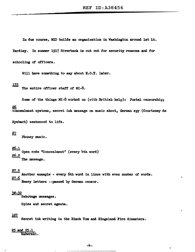In due course, MJ.D builds an organization in Washington around lat Lt. Yardley. In summer 1917 Riverbank is cut out for security reasons and for schooling of officers.

Will have something to say about  $H_1 \circ \cdot Y$ . later.

133 The entire officer staff of MI-8.

Some of the things MI-8 worked on (with British help): Postal censorship; 26 C'Oncealment systems 1 secret ink message on music ehcct, German. *sw* ( Courteney de

Rysbach) sentenced to life.

## $27$

Phoney music.

# 26.l

Open code "Concealment" (every 4th word) 26.2 The message.

## 27.5

Another example - every 6th ward in lines with even number of words.  $\frac{27.6}{5}$  Heavy letters --passed by German censor.

### 30-32

Sabotage messages ..

Spies and secret agents.

## 127

Secret ink writing in the Black Tom and Kingsland Fire disasters.

# 25 and 25.1

Waberski.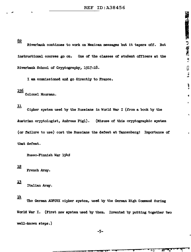$\sum_{i=1}^{n}$ 

 $\hat{\bullet}$ 

 $\ddot{\phantom{0}}$ 

82

Riverbank continues to work on Mexican messages but it tapers off. **But** instructional courses go on. One of the classes of student officers at the Riverbank School of Cryptography, 1917-18.

I am commissioned and go directly to France.

## 156

Colonel Moorman.

## $\mathbf{\underline{u}}$

Cipher system used by the Russians in World War I (from a book by the Austrian cryptologist, Andreas Figl). (Misuse of this cryptographic system (or failure to use) cost the Russians the defeat at Tannenberg! Importance of that defeat.

Russo-Finnish War 1940

## $12$

French Army.

## $\pm 3$

Italian Army.

## 业

The German ADFGVX cipher system, used by the German High Command during World War I. (First new system used by them. Invented by putting together two well-known steps.)

 $-200$ 

₩ú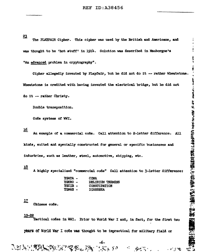23 The FIAYFAIR Cipher. This cipher was used by the British and Americans, and was thought to be 'hot stuff' in 1914. Solution was described in Mauborgne's "An advanced problem in cryptography".

Cipher allegedly invented by Playfair, but he did not do it -- rather Wheatstone. Wheatstone is credited with having invented the electrical bridge, but he did not

do it -- rather Christy.

Double transposition.

Code systems of WWI.

## 16

An example of a commercial code. Call attention to 2-letter difference. **All** kinds, suited and specially constructed for general or specific businesses and industries, such as leather, steel, automotive, shipping, etc.

#### 18

A highly specialized "commercial code" Call attention to 3-letter difference:

| <b>YGATA -</b> | COMA                |
|----------------|---------------------|
| <b>YGKRO –</b> | DELIRIUM TREMENS    |
| YGCIB-         | <b>CONSTIPATION</b> |
| YGMAN -        | <b>DIARRHEA</b>     |

## 立

Chinese code.

## $19 - 22$

アンジン 後辺し

Tactical codes in WWI. Prior to World War I and, in fact, for the first two years of World War I code was thought to be impractical for military field or

デミタ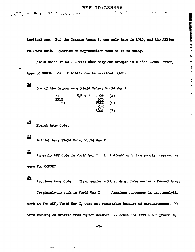tactical use. But the Germans began to use code late in 1916, and the Allies followed suit. Question of reproduction then as it is today.

a is a month property contains and in

t, Â

**The interesting** 

 $\overline{\bullet}$ 

Field codes in WW I - will show only one example in slides --- the German type of KRUSA code. Exhibits can be examined later.

## 50

One of the German Army Field Codes, World War I.

| <b>KRU</b>   | $676 \times 3$ | 1928        | (1) |
|--------------|----------------|-------------|-----|
| <b>KRUS</b>  |                | 676         |     |
| <b>KRUSA</b> |                | 2604        | (2) |
|              |                |             |     |
|              |                | 676<br>328ø | (3) |

## $19$

French Army Code.

「硬化」で「春」、深く「ないいれ

## $22$

British Army Field Code, World War I.

## 21

An early AEF Code in World War I. An indication of how poorly prepared we were for COMSEC.

## <u>24</u>

American Army Code. River series - First Army; Lake series - Second Army.

Cryptanalytic work in World War I. American successes in cryptanalytic work in the AEF, World War I, were not remarkable because of circumstances. We were working on traffic from "quiet sectors" -- hence had little but practice,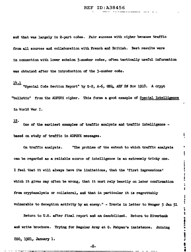and that was largely in 2-part codes. Fair success with cipher because traffic from all sources and collaboration with French and British. Best results were in connection with lower echelon 3-number codes, often tactically useful information was obtained after the introduction of the 3-number code.

 $\frac{14.1}{15}$  "Special Code Section Report" by G-2, A-6, GHQ, AEF 20 Nov 1918. A crypt "bulletin" from the ADFGVX cipher. This forms a good example of Special Intelligence in World War I.

꼬.

One of the earliest examples of traffic analysis and traffic intelligence based on study of traffic in ADFGVX messages.

Ł

**KAA--Ai PMALANY** 

ă Ŧ

 $\frac{1}{2}$ 

 $\frac{4}{3}$ 

case of the figure is a distribution.

On traffic analysis. "The problem of the extent to which traffic analysis can be regarded as a reliable source of intelligence is an extremely tricky one. I feel that it will always have its limitations, that the 'first impressions' which it gives may often be wrong, that it must rely heavily on later confirmation from cryptanalysis or collateral, and that in particular it is regrettably vulnerable to deception activity by an enemy." - Travis in letter to Wenger 5 Jan 51

Return to U.S. after final report and am demobilized. Return to Riverbank and write brochure. Trying for Regular Army at G. Fabyan's insistence. Joining CSO, 1921, January 1.

 $-8-$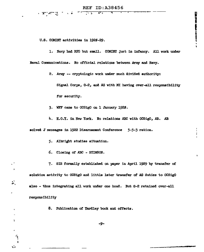### **REF ID: A38456**

a ar Artis in  $\sqrt{2}$ 

U.S. COMINT activities in 1926-29.

1. Navy had RFS but small. COMINT just in infancy. All work under Naval Communications. No official relations between Army and Navy.

2. Army -- cryptologic work under much divided authority:

Signal Corps, G-2, and AG with MI having over-all responsibility for security.

3. WFF came to OCSigO on 1 January 1920.

4. H.O.Y. in New York. No relations ABC with OCSigO, AB. AB

solved J messages in 1922 Disarmament Conference 5-5-3 ration.

- 5. Albright studies situation.
- 6. Closing of ABC STIMSON.

 $\mathbf{r}$ 

 $\ddot{r}$ 

 $\mathbf{r}$ 

 $\,$ 

 $\mathbf{r}^{\prime}$ 

7. SIS formally established on paper in April 1929 by transfer of solution activity to OCSigO and little later transfer of AG duties to OCSigO also - thus integrating all work under one head. But G-2 retained over-all responsibility

8. Publication of Yardley book and effects.

-9-